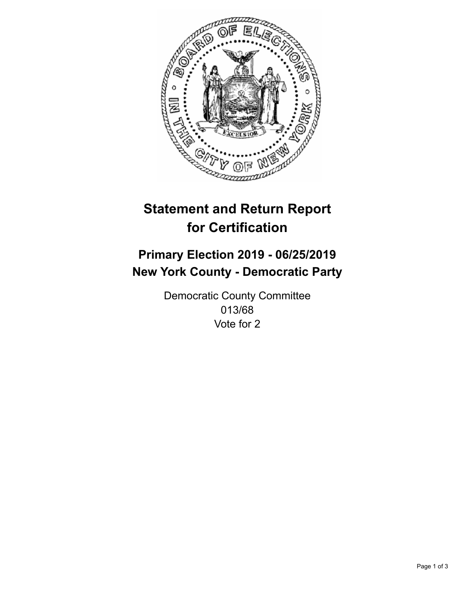

## **Statement and Return Report for Certification**

## **Primary Election 2019 - 06/25/2019 New York County - Democratic Party**

Democratic County Committee 013/68 Vote for 2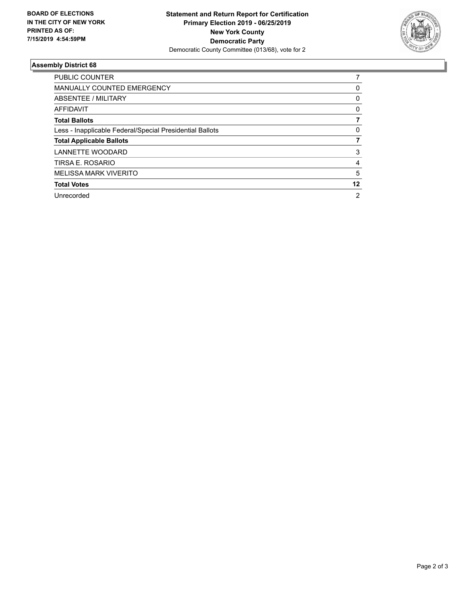

## **Assembly District 68**

| <b>PUBLIC COUNTER</b>                                    |                |
|----------------------------------------------------------|----------------|
| <b>MANUALLY COUNTED EMERGENCY</b>                        | 0              |
| ABSENTEE / MILITARY                                      | 0              |
| AFFIDAVIT                                                | 0              |
| <b>Total Ballots</b>                                     |                |
| Less - Inapplicable Federal/Special Presidential Ballots | 0              |
| <b>Total Applicable Ballots</b>                          |                |
| LANNETTE WOODARD                                         | 3              |
| TIRSA E. ROSARIO                                         | 4              |
| <b>MELISSA MARK VIVERITO</b>                             | 5              |
| <b>Total Votes</b>                                       | 12             |
| Unrecorded                                               | $\overline{2}$ |